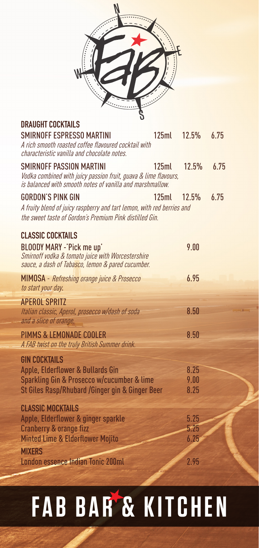| $\mathcal{C}$<br><b>Contract</b> |   |                |
|----------------------------------|---|----------------|
|                                  |   | $\ddot{\cdot}$ |
|                                  | L |                |

**DRAUGHT** COCKT

| UNAUUIII UUUNIAILU<br>SMIRNOFF ESPRESSO MARTINI<br>A rich smooth roasted coffee flavoured cocktail with<br>characteristic vanilla and chocolate notes.                 | 125ml | 12.5%                | 6.75 |
|------------------------------------------------------------------------------------------------------------------------------------------------------------------------|-------|----------------------|------|
| <b>SMIRNOFF PASSION MARTINI</b><br>Vodka combined with juicy passion fruit, guava & lime flavours,<br>is balanced with smooth notes of vanilla and marshmallow.        | 125ml | 12.5%                | 6.75 |
| GORDON'S PINK GIN<br>A fruity blend of juicy raspberry and tart lemon, with red berries and<br>the sweet taste of Gordon's Premium Pink distilled Gin.                 | 125ml | 12.5%                | 6.75 |
| <b>CLASSIC COCKTAILS</b><br><b>BLOODY MARY -'Pick me up'</b><br>Smirnoff vodka & tomato juice with Worcestershire<br>sauce, a dash of Tabasco, lemon & pared cucumber. |       | 9.00                 |      |
| <b>MIMOSA</b> - Refreshing orange juice & Prosecco<br>to start your day.                                                                                               |       | 6.95                 |      |
| <b>APFROI SPRITZ</b><br>Italian classic, Aperol, prosecco w/dash of soda<br>and a slice of orange.                                                                     |       | 8.50                 |      |
| PIMMS & LEMONADE COOLER<br>A FAB twist on the truly British Summer drink.                                                                                              |       | 8.50                 |      |
| <b>GIN COCKTAILS</b><br>Apple, Elderflower & Bullards Gin<br>Sparkling Gin & Prosecco w/cucumber & lime<br>St Giles Rasp/Rhubard /Ginger gin & Ginger Beer             |       | 8.25<br>9.00<br>8.25 |      |
| <b>CLASSIC MOCKTAILS</b><br>Apple, Elderflower & ginger sparkle<br>Cranberry & orange fizz<br>Minted Lime & Elderflower Mojito                                         |       | 5.25<br>5.25<br>6.25 |      |
| <b>MIXERS</b><br>London essence Indian Tonic 200ml                                                                                                                     |       | 2.95                 |      |

## **FAB BAR & KITCHEN**